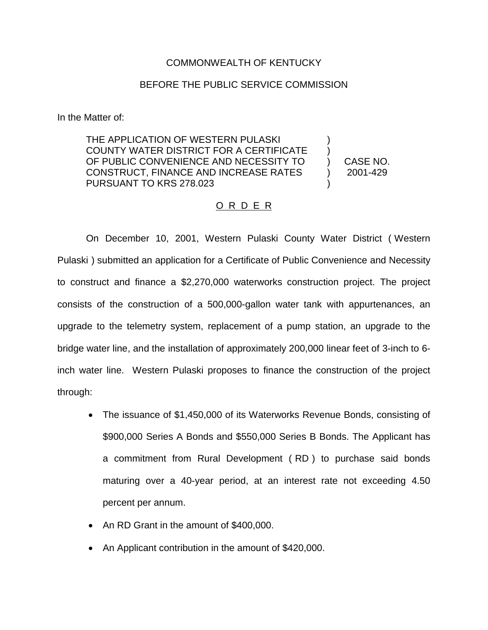### COMMONWEALTH OF KENTUCKY

#### BEFORE THE PUBLIC SERVICE COMMISSION

In the Matter of:

THE APPLICATION OF WESTERN PULASKI COUNTY WATER DISTRICT FOR A CERTIFICATE OF PUBLIC CONVENIENCE AND NECESSITY TO CONSTRUCT, FINANCE AND INCREASE RATES PURSUANT TO KRS 278.023 ) ) ) ) )

CASE NO. 2001-429

#### O R D E R

On December 10, 2001, Western Pulaski County Water District ( Western Pulaski ) submitted an application for a Certificate of Public Convenience and Necessity to construct and finance a \$2,270,000 waterworks construction project. The project consists of the construction of a 500,000-gallon water tank with appurtenances, an upgrade to the telemetry system, replacement of a pump station, an upgrade to the bridge water line, and the installation of approximately 200,000 linear feet of 3-inch to 6 inch water line. Western Pulaski proposes to finance the construction of the project through:

- ∑ The issuance of \$1,450,000 of its Waterworks Revenue Bonds, consisting of \$900,000 Series A Bonds and \$550,000 Series B Bonds. The Applicant has a commitment from Rural Development ( RD ) to purchase said bonds maturing over a 40-year period, at an interest rate not exceeding 4.50 percent per annum.
- ∑ An RD Grant in the amount of \$400,000.
- An Applicant contribution in the amount of \$420,000.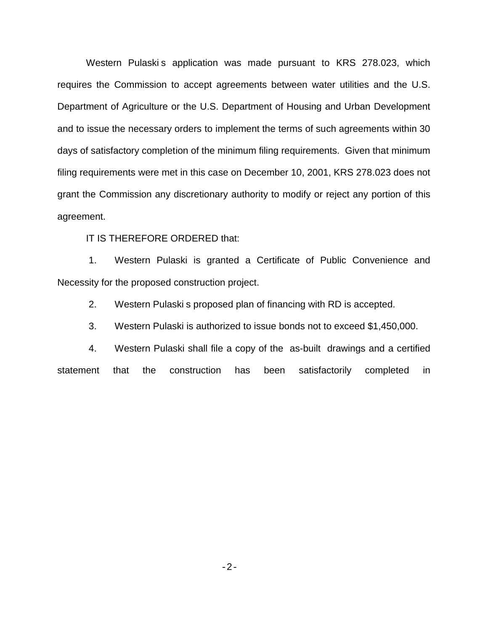Western Pulaski s application was made pursuant to KRS 278.023, which requires the Commission to accept agreements between water utilities and the U.S. Department of Agriculture or the U.S. Department of Housing and Urban Development and to issue the necessary orders to implement the terms of such agreements within 30 days of satisfactory completion of the minimum filing requirements. Given that minimum filing requirements were met in this case on December 10, 2001, KRS 278.023 does not grant the Commission any discretionary authority to modify or reject any portion of this agreement.

IT IS THEREFORE ORDERED that:

1. Western Pulaski is granted a Certificate of Public Convenience and Necessity for the proposed construction project.

2. Western Pulaski s proposed plan of financing with RD is accepted.

3. Western Pulaski is authorized to issue bonds not to exceed \$1,450,000.

4. Western Pulaski shall file a copy of the as-built drawings and a certified statement that the construction has been satisfactorily completed in

-2-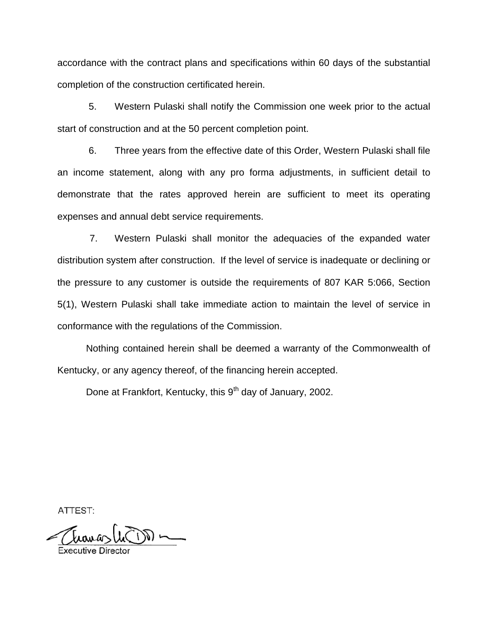accordance with the contract plans and specifications within 60 days of the substantial completion of the construction certificated herein.

5. Western Pulaski shall notify the Commission one week prior to the actual start of construction and at the 50 percent completion point.

6. Three years from the effective date of this Order, Western Pulaski shall file an income statement, along with any pro forma adjustments, in sufficient detail to demonstrate that the rates approved herein are sufficient to meet its operating expenses and annual debt service requirements.

7. Western Pulaski shall monitor the adequacies of the expanded water distribution system after construction. If the level of service is inadequate or declining or the pressure to any customer is outside the requirements of 807 KAR 5:066, Section 5(1), Western Pulaski shall take immediate action to maintain the level of service in conformance with the regulations of the Commission.

Nothing contained herein shall be deemed a warranty of the Commonwealth of Kentucky, or any agency thereof, of the financing herein accepted.

Done at Frankfort, Kentucky, this 9<sup>th</sup> day of January, 2002.

ATTEST: